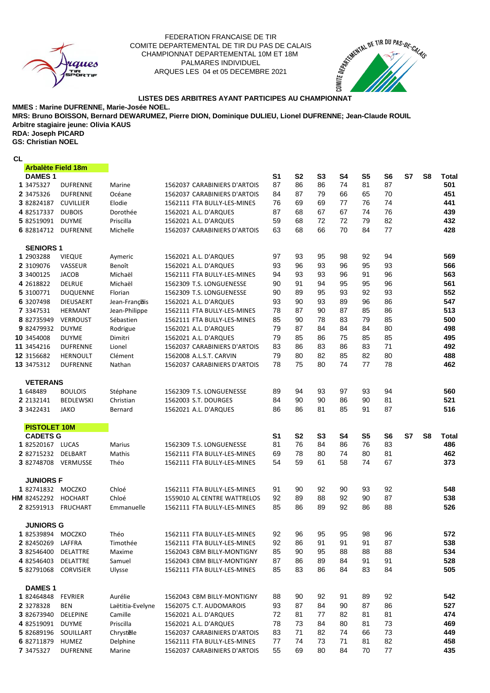

## ARQUES LES 04 et 05 DECEMBRE 2021 FEDERATION FRANCAISE DE TIR PALMARES INDIVIDUEL COMITE DEPARTEMENTAL DE TIR DU PAS DE CALAIS CHAMPIONNAT DEPARTEMENTAL 10M ET 18M LISTES DES ARBITRES AYANT PARTICIPES AU CHAMPIONNAT<sup>T</sup><br>LISTES DES ARBITRES AYANT PARTICIPES AU CHAMPIONNAT



**MMES : Marine DUFRENNE, Marie-Josée NOEL.**

**Arbitre stagiaire jeune: Olivia KAUS MRS: Bruno BOISSON, Bernard DEWARUMEZ, Pierre DION, Dominique DULIEU, Lionel DUFRENNE; Jean-Claude ROUIL** 

**GS: Christian NOEL RDA: Joseph PICARD**

**CL**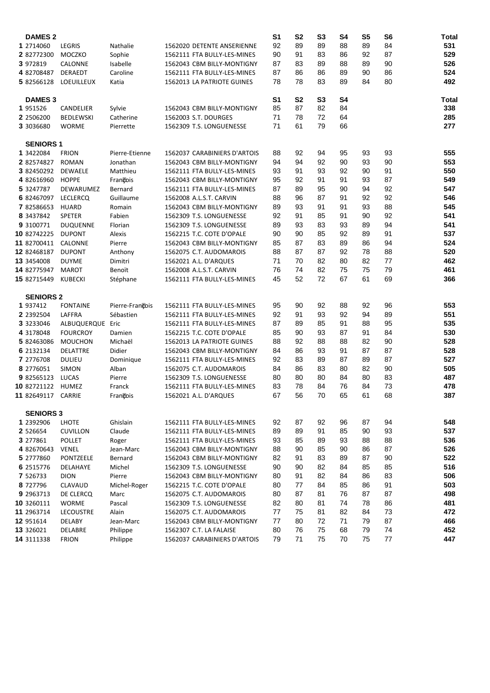| <b>DAMES 2</b>                |                   |                 |                              | S <sub>1</sub> | S <sub>2</sub> | S <sub>3</sub> | S <sub>4</sub> | S <sub>5</sub> | S <sub>6</sub> | <b>Total</b> |
|-------------------------------|-------------------|-----------------|------------------------------|----------------|----------------|----------------|----------------|----------------|----------------|--------------|
| 1 2714060                     | <b>LEGRIS</b>     | Nathalie        | 1562020 DETENTE ANSERIENNE   | 92             | 89             | 89             | 88             | 89             | 84             | 531          |
| 2 82772300                    | MOCZKO            | Sophie          | 1562111 FTA BULLY-LES-MINES  | 90             | 91             | 83             | 86             | 92             | 87             | 529          |
| 3 972819                      | CALONNE           | Isabelle        | 1562043 CBM BILLY-MONTIGNY   | 87             | 83             | 89             | 88             | 89             | 90             | 526          |
| 4 82708487                    | <b>DERAEDT</b>    | Caroline        | 1562111 FTA BULLY-LES-MINES  | 87             | 86             | 86             | 89             | 90             | 86             | 524          |
| 5 82566128                    | <b>LOEUILLEUX</b> | Katia           | 1562013 LA PATRIOTE GUINES   | 78             | 78             | 83             | 89             | 84             | 80             | 492          |
|                               |                   |                 |                              |                |                |                |                |                |                |              |
| <b>DAMES 3</b>                |                   |                 |                              | S <sub>1</sub> | S <sub>2</sub> | S <sub>3</sub> | S <sub>4</sub> |                |                | Total        |
| 1 951526                      | CANDELIER         | Sylvie          | 1562043 CBM BILLY-MONTIGNY   | 85             | 87             | 82             | 84             |                |                | 338          |
| 2 2506200                     | <b>BEDLEWSKI</b>  | Catherine       | 1562003 S.T. DOURGES         | 71             | 78             | 72             | 64             |                |                | 285          |
| 3 3036680                     | <b>WORME</b>      | Pierrette       | 1562309 T.S. LONGUENESSE     | 71             | 61             | 79             | 66             |                |                | 277          |
|                               |                   |                 |                              |                |                |                |                |                |                |              |
| <b>SENIORS 1</b><br>1 3422084 | <b>FRION</b>      | Pierre-Etienne  | 1562037 CARABINIERS D'ARTOIS | 88             | 92             | 94             | 95             | 93             | 93             | 555          |
| 2 82574827                    | <b>ROMAN</b>      | Jonathan        | 1562043 CBM BILLY-MONTIGNY   | 94             | 94             | 92             | 90             | 93             | 90             | 553          |
|                               |                   |                 |                              |                | 91             | 93             | 92             | 90             | 91             |              |
| 3 82450292                    | <b>DEWAELE</b>    | Matthieu        | 1562111 FTA BULLY-LES-MINES  | 93             | 92             | 91             | 91             | 93             | 87             | 550<br>549   |
| 4 82616960                    | <b>HOPPE</b>      | François        | 1562043 CBM BILLY-MONTIGNY   | 95             |                |                |                |                |                |              |
| 5 3247787                     | DEWARUMEZ         | Bernard         | 1562111 FTA BULLY-LES-MINES  | 87             | 89             | 95             | 90             | 94             | 92             | 547          |
| 6 82467097                    | <b>LECLERCQ</b>   | Guillaume       | 1562008 A.L.S.T. CARVIN      | 88             | 96             | 87             | 91             | 92             | 92             | 546          |
| 7 82586653                    | <b>HUARD</b>      | Romain          | 1562043 CBM BILLY-MONTIGNY   | 89             | 93             | 91             | 91             | 93             | 88             | 545          |
| 8 3437842                     | <b>SPETER</b>     | Fabien          | 1562309 T.S. LONGUENESSE     | 92             | 91             | 85             | 91             | 90             | 92             | 541          |
| 9 3100771                     | <b>DUQUENNE</b>   | Florian         | 1562309 T.S. LONGUENESSE     | 89             | 93             | 83             | 93             | 89             | 94             | 541          |
| 10 82742225                   | <b>DUPONT</b>     | Alexis          | 1562215 T.C. COTE D'OPALE    | 90             | 90             | 85             | 92             | 89             | 91             | 537          |
| 11 82700411                   | CALONNE           | Pierre          | 1562043 CBM BILLY-MONTIGNY   | 85             | 87             | 83             | 89             | 86             | 94             | 524          |
| 12 82468187                   | <b>DUPONT</b>     | Anthony         | 1562075 C.T. AUDOMAROIS      | 88             | 87             | 87             | 92             | 78             | 88             | 520          |
| 13 3454008                    | <b>DUYME</b>      | Dimitri         | 1562021 A.L. D'ARQUES        | 71             | 70             | 82             | 80             | 82             | 77             | 462          |
| 14 82775947                   | <b>MAROT</b>      | Benoït          | 1562008 A.L.S.T. CARVIN      | 76             | 74             | 82             | 75             | 75             | 79             | 461          |
| 15 82715449                   | <b>KUBECKI</b>    | Stéphane        | 1562111 FTA BULLY-LES-MINES  | 45             | 52             | 72             | 67             | 61             | 69             | 366          |
| <b>SENIORS 2</b>              |                   |                 |                              |                |                |                |                |                |                |              |
| 1 937412                      | <b>FONTAINE</b>   | Pierre-François | 1562111 FTA BULLY-LES-MINES  | 95             | 90             | 92             | 88             | 92             | 96             | 553          |
| 2 2392504                     | LAFFRA            | Sébastien       | 1562111 FTA BULLY-LES-MINES  | 92             | 91             | 93             | 92             | 94             | 89             | 551          |
| 3 3233046                     | ALBUQUERQUE Eric  |                 | 1562111 FTA BULLY-LES-MINES  | 87             | 89             | 85             | 91             | 88             | 95             | 535          |
| 4 3178048                     | <b>FOURCROY</b>   | Damien          | 1562215 T.C. COTE D'OPALE    | 85             | 90             | 93             | 87             | 91             | 84             | 530          |
| 5 82463086                    | <b>MOUCHON</b>    | Michaël         | 1562013 LA PATRIOTE GUINES   | 88             | 92             | 88             | 88             | 82             | 90             | 528          |
| 6 2132134                     | <b>DELATTRE</b>   | Didier          | 1562043 CBM BILLY-MONTIGNY   | 84             | 86             | 93             | 91             | 87             | 87             | 528          |
| 7 2776708                     | <b>DULIEU</b>     | Dominique       | 1562111 FTA BULLY-LES-MINES  | 92             | 83             | 89             | 87             | 89             | 87             | 527          |
| 8 2776051                     | <b>SIMON</b>      | Alban           | 1562075 C.T. AUDOMAROIS      | 84             | 86             | 83             | 80             | 82             | 90             | 505          |
| 9 82565123                    | LUCAS             | Pierre          | 1562309 T.S. LONGUENESSE     | 80             | 80             | 80             | 84             | 80             | 83             | 487          |
| 10 82721122                   | HUMEZ             | Franck          | 1562111 FTA BULLY-LES-MINES  | 83             | 78             | 84             | 76             | 84             | 73             | 478          |
| 11 82649117                   | CARRIE            | Francois        | 1562021 A.L. D'ARQUES        | 67             | 56             | 70             | 65             | 61             | 68             | 387          |
|                               |                   |                 |                              |                |                |                |                |                |                |              |
| <b>SENIORS 3</b>              |                   |                 |                              |                |                |                |                |                |                |              |
| 1 2392906                     | LHOTE             | Ghislain        | 1562111 FTA BULLY-LES-MINES  | 92             | 87             | 92             | 96             | 87             | 94             | 548          |
| 2 526654                      | <b>CUVILLON</b>   | Claude          | 1562111 FTA BULLY-LES-MINES  | 89             | 89             | 91             | 85             | 90             | 93             | 537          |
| 3 277861                      | <b>POLLET</b>     | Roger           | 1562111 FTA BULLY-LES-MINES  | 93             | 85             | 89             | 93             | 88             | 88             | 536          |
| 4 82670643                    | VENEL             | Jean-Marc       | 1562043 CBM BILLY-MONTIGNY   | 88             | 90             | 85             | 90             | 86             | 87             | 526          |
| 5 2777860                     | PONTZEELE         | Bernard         | 1562043 CBM BILLY-MONTIGNY   | 82             | 91             | 83             | 89             | 87             | 90             | 522          |
| 6 2515776                     | DELAHAYE          | Michel          | 1562309 T.S. LONGUENESSE     | 90             | 90             | 82             | 84             | 85             | 85             | 516          |
| 7 526733                      | <b>DION</b>       | Pierre          | 1562043 CBM BILLY-MONTIGNY   | 80             | 91             | 82             | 84             | 86             | 83             | 506          |
| 8 727796                      | CLAVAUD           | Michel-Roger    | 1562215 T.C. COTE D'OPALE    | 80             | 77             | 84             | 85             | 86             | 91             | 503          |
| 9 29 63713                    | DE CLERCQ         | Marc            | 1562075 C.T. AUDOMAROIS      | 80             | 87             | 81             | 76             | 87             | 87             | 498          |
| 10 3260111                    | <b>WORME</b>      | Pascal          | 1562309 T.S. LONGUENESSE     | 82             | 80             | 81             | 74             | 78             | 86             | 481          |
| 11 2963714                    | LECOUSTRE         | Alain           | 1562075 C.T. AUDOMAROIS      | 77             | 75             | 81             | 82             | 84             | 73             | 472          |
| 12 951614                     | <b>DELABY</b>     | Jean-Marc       | 1562043 CBM BILLY-MONTIGNY   | 77             | 80             | 72             | 71             | 79             | 87             | 466          |
| 13 326021                     | DELABRE           | Philippe        | 1562307 C.T. LA FALAISE      | 80             | 76             | 75             | 68             | 79             | 74             | 452          |
| 14 3111338                    | <b>FRION</b>      | Philippe        | 1562037 CARABINIERS D'ARTOIS | 79             | $71$           | 75             | 70             | 75             | $77 \,$        | 447          |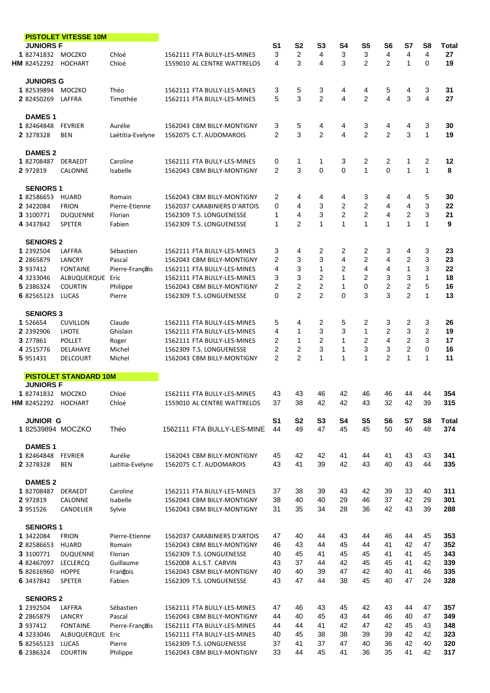| <b>PISTOLET VITESSE 10M</b>           |                                 |                    |                                                         |                     |                                         |                      |                      |                      |                         |                     |                      |                     |
|---------------------------------------|---------------------------------|--------------------|---------------------------------------------------------|---------------------|-----------------------------------------|----------------------|----------------------|----------------------|-------------------------|---------------------|----------------------|---------------------|
| <b>JUNIORS F</b><br>1 82741832 MOCZKO |                                 | Chloé              | 1562111 FTA BULLY-LES-MINES                             | S <sub>1</sub><br>3 | S <sub>2</sub><br>$\overline{2}$        | S3<br>4              | S4<br>3              | S <sub>5</sub><br>3  | S6<br>4                 | S7<br>4             | S8<br>4              | Total<br>27         |
| <b>HM</b> 82452292 HOCHART            |                                 | Chloé              | 1559010 AL CENTRE WATTRELOS                             | 4                   | 3                                       | 4                    | 3                    | $\overline{2}$       | $\overline{2}$          | $\mathbf{1}$        | $\Omega$             | 19                  |
| <b>JUNIORS G</b>                      |                                 |                    |                                                         |                     |                                         |                      |                      |                      |                         |                     |                      |                     |
| 1 82539894 MOCZKO                     |                                 | Théo               | 1562111 FTA BULLY-LES-MINES                             | 3                   | 5                                       | 3                    | 4                    | 4                    | 5                       | 4                   | 3                    | 31                  |
| 2 82450269                            | LAFFRA                          | Timothée           | 1562111 FTA BULLY-LES-MINES                             | 5                   | 3                                       | $\overline{2}$       | 4                    | 2                    | $\overline{\mathbf{A}}$ | 3                   | 4                    | 27                  |
| <b>DAMES1</b><br>1 82464848           | <b>FEVRIER</b>                  | Aurélie            | 1562043 CBM BILLY-MONTIGNY                              | 3                   | 5                                       | 4                    | 4                    | 3                    | 4                       | 4                   | 3                    | 30                  |
| 2 3278328                             | <b>BEN</b>                      | Laëtitia-Evelyne   | 1562075 C.T. AUDOMAROIS                                 | 2                   | 3                                       | 2                    | 4                    | 2                    | 2                       | 3                   | 1                    | 19                  |
|                                       |                                 |                    |                                                         |                     |                                         |                      |                      |                      |                         |                     |                      |                     |
| <b>DAMES 2</b><br>1 82708487          | DERAEDT                         | Caroline           | 1562111 FTA BULLY-LES-MINES                             | 0                   | 1                                       | -1                   | 3                    | 2                    | 2                       | 1                   | $\overline{2}$       | 12                  |
| 2 972819                              | <b>CALONNE</b>                  | Isabelle           | 1562043 CBM BILLY-MONTIGNY                              | 2                   | 3                                       | $\mathbf 0$          | $\Omega$             | $\mathbf{1}$         | $\overline{0}$          | $\mathbf{1}$        | $\mathbf{1}$         | 8                   |
| <b>SENIORS 1</b>                      |                                 |                    |                                                         |                     |                                         |                      |                      |                      |                         |                     |                      |                     |
| 1 82586653                            | HUARD                           | Romain             | 1562043 CBM BILLY-MONTIGNY                              | 2                   | 4                                       | 4                    | 4                    | 3                    | 4                       | 4                   | 5                    | 30                  |
| 2 3422084                             | <b>FRION</b>                    | Pierre-Etienne     | 1562037 CARABINIERS D'ARTOIS                            | 0                   | 4                                       | 3                    | 2                    | $\overline{2}$       | 4                       | 4                   | 3                    | 22                  |
| 3 3100771                             | <b>DUQUENNE</b>                 | Florian            | 1562309 T.S. LONGUENESSE                                | 1                   | 4                                       | 3                    | $\overline{2}$       | 2                    | 4                       | 2                   | 3                    | 21                  |
| 4 3437842                             | SPETER                          | Fabien             | 1562309 T.S. LONGUENESSE                                | 1                   | 2                                       | $\mathbf 1$          | $\mathbf{1}$         | $\mathbf{1}$         | $\mathbf{1}$            | 1                   | 1                    | 9                   |
| <b>SENIORS 2</b><br>1 2392504         | LAFFRA                          | Sébastien          | 1562111 FTA BULLY-LES-MINES                             | 3                   | 4                                       | 2                    | 2                    | 2                    | 3                       | 4                   | 3                    | 23                  |
| 2 2865879                             | LANCRY                          | Pascal             | 1562043 CBM BILLY-MONTIGNY                              | 2                   | 3                                       | 3                    | 4                    | $\overline{2}$       | 4                       | 2                   | 3                    | 23                  |
| 3 937412                              | <b>FONTAINE</b>                 | Pierre-François    | 1562111 FTA BULLY-LES-MINES                             | 4                   | 3                                       | $\mathbf{1}$         | $\overline{2}$       | 4                    | 4                       | $\mathbf{1}$        | 3                    | 22                  |
| 4 3233046                             | ALBUQUERQUE Eric                |                    | 1562111 FTA BULLY-LES-MINES                             | 3                   | 3                                       | 2                    | 1                    | $\overline{2}$       | 3                       | 3                   | 1                    | 18                  |
| 5 2386324                             | <b>COURTIN</b>                  | Philippe           | 1562043 CBM BILLY-MONTIGNY                              | 2                   | 2                                       | 2                    | 1                    | $\Omega$             | $\overline{2}$          | 2                   | 5                    | 16                  |
| 6 82565123                            | LUCAS                           | Pierre             | 1562309 T.S. LONGUENESSE                                | 0                   | $\overline{2}$                          | 2                    | $\Omega$             | 3                    | 3                       | $\overline{2}$      | $\mathbf{1}$         | 13                  |
| <b>SENIORS 3</b>                      |                                 |                    |                                                         |                     |                                         |                      |                      |                      |                         |                     |                      |                     |
| 1 526654                              | <b>CUVILLON</b>                 | Claude             | 1562111 FTA BULLY-LES-MINES                             | 5                   | 4                                       | 2                    | 5                    | 2                    | 3                       | 2                   | 3                    | 26                  |
| 2 2392906                             | <b>LHOTE</b>                    | Ghislain           | 1562111 FTA BULLY-LES-MINES                             | 4                   | 1                                       | 3                    | 3                    | $\mathbf{1}$         | 2                       | 3                   | $\overline{2}$       | 19                  |
| 3 277861<br>4 2515776                 | <b>POLLET</b>                   | Roger<br>Michel    | 1562111 FTA BULLY-LES-MINES<br>1562309 T.S. LONGUENESSE | 2<br>2              | $\mathbf{1}$<br>$\overline{\mathbf{c}}$ | $\overline{2}$<br>3  | $\mathbf{1}$<br>1    | $\overline{2}$<br>3  | 4<br>3                  | 2<br>$\overline{c}$ | 3<br>0               | 17<br>16            |
| 5 951431                              | DELAHAYE<br><b>DELCOURT</b>     | Michel             | 1562043 CBM BILLY-MONTIGNY                              | 2                   | $\overline{2}$                          | $\mathbf{1}$         | 1                    | 1                    | $\overline{2}$          | $\mathbf{1}$        | 1                    | 11                  |
|                                       | <b>PISTOLET STANDARD 10M</b>    |                    |                                                         |                     |                                         |                      |                      |                      |                         |                     |                      |                     |
| <b>JUNIORS F</b>                      |                                 |                    |                                                         |                     |                                         |                      |                      |                      |                         |                     |                      |                     |
| 182741832 MOCZKO                      |                                 | Chloé              | 1562111 FTA BULLY-LES-MINES                             | 43                  | 43                                      | 46                   | 42                   | 46                   | 46                      | 44                  | 44                   | 354                 |
| <b>HM</b> 82452292 HOCHART            |                                 | Chloé              | 1559010 AL CENTRE WATTRELOS                             | 37                  | 38                                      | 42                   | 42                   | 43                   | 32                      | 42                  | 39                   | 315                 |
| <b>JUNIOR G</b><br>1 82539894 MOCZKO  |                                 | Théo               | 1562111 FTA BULLY-LES-MINE                              | S1<br>44            | S <sub>2</sub><br>49                    | S <sub>3</sub><br>47 | S <sub>4</sub><br>45 | S <sub>5</sub><br>45 | S <sub>6</sub><br>50    | S7<br>46            | S <sub>8</sub><br>48 | <b>Total</b><br>374 |
|                                       |                                 |                    |                                                         |                     |                                         |                      |                      |                      |                         |                     |                      |                     |
| <b>DAMES1</b><br>1 82464848           | <b>FEVRIER</b>                  | Aurélie            | 1562043 CBM BILLY-MONTIGNY                              | 45                  | 42                                      | 42                   | 41                   | 44                   | 41                      | 43                  | 43                   | 341                 |
| 2 3278328                             | <b>BEN</b>                      | Laititia-Evelyne   | 1562075 C.T. AUDOMAROIS                                 | 43                  | 41                                      | 39                   | 42                   | 43                   | 40                      | 43                  | 44                   | 335                 |
| <b>DAMES 2</b>                        |                                 |                    |                                                         |                     |                                         |                      |                      |                      |                         |                     |                      |                     |
| 1 82708487                            | DERAEDT                         | Caroline           | 1562111 FTA BULLY-LES-MINES                             | 37                  | 38                                      | 39                   | 43                   | 42                   | 39                      | 33                  | 40                   | 311                 |
| 2 972819                              | CALONNE                         | Isabelle           | 1562043 CBM BILLY-MONTIGNY                              | 38                  | 40                                      | 40                   | 29                   | 46                   | 37                      | 42                  | 29                   | 301                 |
| 3 951526                              | CANDELIER                       | Sylvie             | 1562043 CBM BILLY-MONTIGNY                              | 31                  | 35                                      | 34                   | 28                   | 36                   | 42                      | 43                  | 39                   | 288                 |
| <b>SENIORS 1</b>                      |                                 |                    |                                                         |                     |                                         |                      |                      |                      |                         |                     |                      |                     |
| 1 3422084                             | <b>FRION</b>                    | Pierre-Etienne     | 1562037 CARABINIERS D'ARTOIS                            | 47                  | 40                                      | 44                   | 43                   | 44                   | 46                      | 44                  | 45                   | 353                 |
| 2 82586653                            | <b>HUARD</b>                    | Romain             | 1562043 CBM BILLY-MONTIGNY                              | 46                  | 43                                      | 44                   | 45                   | 44                   | 41                      | 42                  | 47                   | 352                 |
| 3 3100771                             | <b>DUQUENNE</b>                 | Florian            | 1562309 T.S. LONGUENESSE                                | 40                  | 45                                      | 41                   | 45                   | 45                   | 41                      | 41                  | 45                   | 343                 |
| 4 82467097<br>5 82616960              | <b>LECLERCQ</b><br><b>HOPPE</b> | Guillaume          | 1562008 A.L.S.T. CARVIN<br>1562043 CBM BILLY-MONTIGNY   | 43<br>40            | 37<br>40                                | 44<br>39             | 42<br>47             | 45<br>42             | 45<br>40                | 41<br>41            | 42<br>46             | 339<br>335          |
| 6 3437842                             | SPETER                          | François<br>Fabien | 1562309 T.S. LONGUENESSE                                | 43                  | 47                                      | 44                   | 38                   | 45                   | 40                      | 47                  | 24                   | 328                 |
| <b>SENIORS 2</b>                      |                                 |                    |                                                         |                     |                                         |                      |                      |                      |                         |                     |                      |                     |
| 1 2392504                             | LAFFRA                          | Sébastien          | 1562111 FTA BULLY-LES-MINES                             | 47                  | 46                                      | 43                   | 45                   | 42                   | 43                      | 44                  | 47                   | 357                 |
| 2 2865879                             | LANCRY                          | Pascal             | 1562043 CBM BILLY-MONTIGNY                              | 44                  | 40                                      | 45                   | 43                   | 44                   | 46                      | 40                  | 47                   | 349                 |
| 3 937412                              | <b>FONTAINE</b>                 | Pierre-François    | 1562111 FTA BULLY-LES-MINES                             | 44                  | 44                                      | 41                   | 42                   | 47                   | 42                      | 45                  | 43                   | 348                 |
| 4 3233046                             | ALBUQUERQUE                     | Eric               | 1562111 FTA BULLY-LES-MINES                             | 40                  | 45                                      | 38                   | 38                   | 39                   | 39                      | 42                  | 42                   | 323                 |
| 5 82565123                            | LUCAS                           | Pierre             | 1562309 T.S. LONGUENESSE                                | 37                  | 41                                      | 37                   | 47                   | 40                   | 36                      | 42                  | 40                   | 320                 |
| 6 2386324                             | <b>COURTIN</b>                  | Philippe           | 1562043 CBM BILLY-MONTIGNY                              | 33                  | 44                                      | 45                   | 41                   | 36                   | 35                      | 41                  | 42                   | 317                 |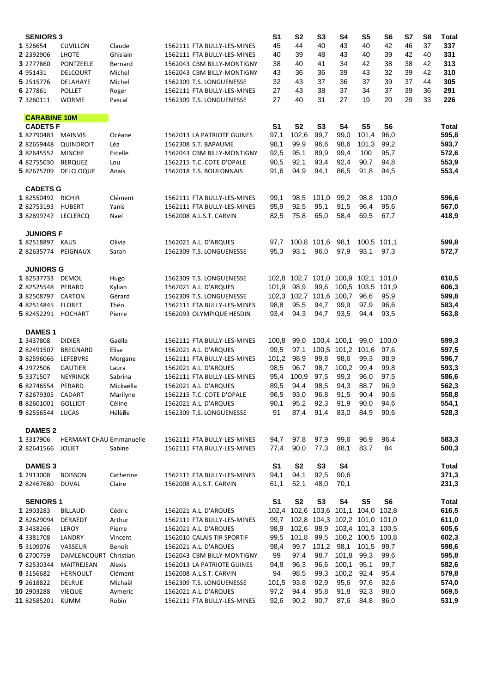| <b>SENIORS 3</b>                    |                                |                     |                             | S1             | S <sub>2</sub>          | S3             | S4                | S5                                  | S6    | S7 | S8 | <b>Total</b> |
|-------------------------------------|--------------------------------|---------------------|-----------------------------|----------------|-------------------------|----------------|-------------------|-------------------------------------|-------|----|----|--------------|
| 1 526654                            | <b>CUVILLON</b>                | Claude              | 1562111 FTA BULLY-LES-MINES | 45             | 44                      | 40             | 43                | 40                                  | 42    | 46 | 37 | 337          |
| 2 2392906                           | <b>LHOTE</b>                   | Ghislain            | 1562111 FTA BULLY-LES-MINES | 40             | 39                      | 48             | 43                | 40                                  | 39    | 42 | 40 | 331          |
| 3 2777860                           | PONTZEELE                      | Bernard             | 1562043 CBM BILLY-MONTIGNY  | 38             | 40                      | 41             | 34                | 42                                  | 38    | 38 | 42 | 313          |
| 4 951431                            | <b>DELCOURT</b>                | Michel              | 1562043 CBM BILLY-MONTIGNY  | 43             | 36                      | 36             | 39                | 43                                  | 32    | 39 | 42 | 310          |
| 5 2515776                           | DELAHAYE                       | Michel              | 1562309 T.S. LONGUENESSE    | 32             | 43                      | 37             | 36                | 37                                  | 39    | 37 | 44 | 305          |
| 6 277861                            | <b>POLLET</b>                  | Roger               | 1562111 FTA BULLY-LES-MINES | 27             | 43                      | 38             | 37                | 34                                  | 37    | 39 | 36 | 291          |
| 7 3260111                           | <b>WORME</b>                   | Pascal              | 1562309 T.S. LONGUENESSE    | 27             | 40                      | 31             | 27                | 19                                  | 20    | 29 | 33 | 226          |
|                                     |                                |                     |                             |                |                         |                |                   |                                     |       |    |    |              |
| <b>CARABINE 10M</b>                 |                                |                     |                             |                |                         |                |                   |                                     |       |    |    |              |
| <b>CADETSF</b>                      |                                |                     |                             | S <sub>1</sub> | S <sub>2</sub>          | S <sub>3</sub> | S4                | S <sub>5</sub>                      | S6    |    |    | Total        |
| 1 82790483                          | <b>MAINVIS</b>                 | Océane              | 1562013 LA PATRIOTE GUINES  | 97,1           | 102,6                   | 99,7           | 99,0              | 101,4                               | 96,0  |    |    | 595,8        |
| 2 82659448                          | QUINDROIT                      | Léa                 | 1562308 S.T. BAPAUME        | 98,1           | 99,9                    | 96,6           | 98,6              | 101,3                               | 99,2  |    |    | 593,7        |
| 3 82645552                          | <b>MINCHE</b>                  | Estelle             | 1562043 CBM BILLY-MONTIGNY  | 92,5           | 95,1                    | 89,9           | 99,4              | 100                                 | 95,7  |    |    | 572,6        |
| 4 82755030                          | <b>BERQUEZ</b>                 | Lou                 | 1562215 T.C. COTE D'OPALE   | 90,5           | 92,1                    | 93,4           | 92,4              | 90,7                                | 94,8  |    |    | 553,9        |
| 5 82675709                          | <b>DELCLOQUE</b>               | Anaïs               | 1562018 T.S. BOULONNAIS     | 91,6           | 94,9                    | 94,1           | 86,5              | 91,8                                | 94,5  |    |    | 553,4        |
| <b>CADETS G</b>                     |                                |                     |                             |                |                         |                |                   |                                     |       |    |    |              |
| 1 82550492 RICHIR                   |                                | Clément             | 1562111 FTA BULLY-LES-MINES | 99,1           | 98,5                    | 101,0          | 99,2              | 98,8                                | 100,0 |    |    | 596,6        |
| 2 82753193                          | <b>HUBERT</b>                  | Yanis               | 1562111 FTA BULLY-LES-MINES | 95,9           | 92,5                    | 95,1           | 91,5              | 96,4                                | 95,6  |    |    | 567,0        |
| 3 82699747 LECLERCO                 |                                | Nael                | 1562008 A.L.S.T. CARVIN     | 82,5           | 75,8                    | 65,0           | 58,4              | 69,5                                | 67,7  |    |    | 418,9        |
|                                     |                                |                     |                             |                |                         |                |                   |                                     |       |    |    |              |
| <b>JUNIORS F</b><br>1 82518897 KAUS |                                | Olivia              | 1562021 A.L. D'ARQUES       | 97,7           |                         | 100,8 101,6    | 98,1              | 100.5 101.1                         |       |    |    | 599,8        |
| 2 82635774                          | PEIGNAUX                       | Sarah               | 1562309 T.S. LONGUENESSE    | 95,3           | 93,1                    | 96,0           | 97,9              | 93,1                                | 97,3  |    |    | 572,7        |
|                                     |                                |                     |                             |                |                         |                |                   |                                     |       |    |    |              |
| <b>JUNIORS G</b>                    |                                |                     |                             |                |                         |                |                   |                                     |       |    |    |              |
| 1 82537733                          | DEMOL                          | Hugo                | 1562309 T.S. LONGUENESSE    |                |                         |                |                   | 102,8 102,7 101,0 100,9 102,1       | 101,0 |    |    | 610,5        |
| 2 82525548                          | PERARD                         | Kylian              | 1562021 A.L. D'ARQUES       | 101,9          | 98,9                    | 99,6           |                   | 100.5 103.5 101.9                   |       |    |    | 606,3        |
| 3 82508797                          | CARTON                         | Gérard              | 1562309 T.S. LONGUENESSE    |                | 102,3 102,7 101,6 100,7 |                |                   | 96,6                                | 95,9  |    |    | 599,8        |
| 4 82514845                          | <b>FLORET</b>                  | Théo                | 1562111 FTA BULLY-LES-MINES | 98,8           | 95,5                    | 94,7           | 99,9              | 97,9                                | 96,6  |    |    | 583,4        |
| 5 82452291 HOCHART                  |                                | Pierre              | 1562093 OLYMPIQUE HESDIN    | 93,4           | 94,3                    | 94,7           | 93,5              | 94,4                                | 93,5  |    |    | 563,8        |
| <b>DAMES1</b>                       |                                |                     |                             |                |                         |                |                   |                                     |       |    |    |              |
| 1 3437808                           | <b>DIDIER</b>                  | Gaëlle              | 1562111 FTA BULLY-LES-MINES | 100,8          | 99,0                    |                | 100,4 100,1       | 99.0                                | 100,0 |    |    | 599,3        |
| 2 82491507                          | <b>BREGNARD</b>                | Elise               | 1562021 A.L. D'ARQUES       | 99,5           | 97,1                    |                | 100,5 101,2 101,6 |                                     | 97,6  |    |    | 597,5        |
| 3 82596066                          | LEFEBVRE                       | Morgane             | 1562111 FTA BULLY-LES-MINES | 101,2          | 98,9                    | 99,8           | 98,6              | 99,3                                | 98,9  |    |    | 596,7        |
| 4 2972506                           | <b>GAUTIER</b>                 | Laura               | 1562021 A.L. D'ARQUES       | 98,5           | 96,7                    | 98,7           | 100,2             | 99,4                                | 99,8  |    |    | 593,3        |
| 5 3371507                           | <b>NEYRINCK</b>                | Sabrina             | 1562111 FTA BULLY-LES-MINES | 95,4           | 100.9                   | 97,5           | 99,3              | 96,0                                | 97,5  |    |    | 586,6        |
| 6 82746554                          | PERARD                         | Mickaëlla           | 1562021 A.L. D'ARQUES       | 89,5           | 94,4                    | 98,5           | 94,3              | 88,7                                | 96,9  |    |    | 562,3        |
| 7 82679305                          | CADART                         | Marilyne            | 1562215 T.C. COTE D'OPALE   | 96,5           | 93,0                    | 96,8           | 91,5              | 90,4                                | 90,6  |    |    | 558,8        |
| 8 82601001 GOLLIOT                  |                                | Céline              | 1562021 A.L. D'ARQUES       | 90,1           | 95,2                    | 92,3           | 91,9              | 90,0                                | 94,6  |    |    | 554,1        |
| 9 82556544 LUCAS                    |                                | Hélène              | 1562309 T.S. LONGUENESSE    | 91             | 87,4                    | 91,4           | 83,0              | 84,9                                | 90,6  |    |    | 528,3        |
|                                     |                                |                     |                             |                |                         |                |                   |                                     |       |    |    |              |
| <b>DAMES 2</b><br>1 3317906         | <b>HERMANT CHAU Emmanuelle</b> |                     | 1562111 FTA BULLY-LES-MINES | 94,7           | 97,8                    | 97,9           | 99,6              | 96,9                                | 96,4  |    |    | 583,3        |
| 2 82641566                          | <b>JOLIET</b>                  | Sabine              | 1562111 FTA BULLY-LES-MINES | 77,4           | 90,0                    | 77,3           | 88,1              | 83,7                                | 84    |    |    | 500,3        |
|                                     |                                |                     |                             |                |                         |                |                   |                                     |       |    |    |              |
| <b>DAMES 3</b>                      |                                |                     |                             | S <sub>1</sub> | S <sub>2</sub>          | S3             | S4                |                                     |       |    |    | Total        |
| 1 2913008<br>2 82467680             | <b>BOISSON</b>                 | Catherine<br>Claire | 1562111 FTA BULLY-LES-MINES | 94,1<br>61,1   | 94,1<br>52,1            | 92,5<br>48,0   | 90,6<br>70,1      |                                     |       |    |    | 371,3        |
|                                     | DUVAL                          |                     | 1562008 A.L.S.T. CARVIN     |                |                         |                |                   |                                     |       |    |    | 231,3        |
| <b>SENIORS 1</b>                    |                                |                     |                             | S <sub>1</sub> | S <sub>2</sub>          | S <sub>3</sub> | S4                | S5                                  | S6    |    |    | <b>Total</b> |
| 1 2903283                           | <b>BILLAUD</b>                 | Cédric              | 1562021 A.L. D'ARQUES       |                |                         |                |                   | 102,4 102,6 103,6 101,1 104,0 102,8 |       |    |    | 616,5        |
| 2 82629094                          | DERAEDT                        | Arthur              | 1562111 FTA BULLY-LES-MINES | 99,7           |                         |                |                   | 102,8 104,3 102,2 101,0 101,0       |       |    |    | 611,0        |
| 3 3438266                           | LEROY                          | Pierre              | 1562021 A.L. D'ARQUES       | 98,9           |                         |                |                   | 102,6 98,9 103,4 101,3 100,5        |       |    |    | 605,6        |
| 4 3381708                           | LANDRY                         | Vincent             | 1562010 CALAIS TIR SPORTIF  | 99,5           | 101,8                   | 99,5           |                   | 100,2 100,5 100,8                   |       |    |    | 602,3        |
| 5 3109076                           | VASSEUR                        | Benoît              | 1562021 A.L. D'ARQUES       | 98,4           | 99,7                    | 101,2 98,1     |                   | 101,5                               | 99,7  |    |    | 598,6        |
| 6 2700759                           | DAMLENCOURT                    | Christian           | 1562043 CBM BILLY-MONTIGNY  | 99             | 97,4                    | 98,7           | 101,8             | 99,3                                | 99,6  |    |    | 595,8        |
| 7 82530344                          | MAITREJEAN                     | Alexis              | 1562013 LA PATRIOTE GUINES  | 94,8           | 96,3                    | 96,6           | 100,1             | 95,1                                | 99,7  |    |    | 582,6        |
| 8 3156682                           | <b>HERNOULT</b>                | Clément             | 1562008 A.L.S.T. CARVIN     | 94             | 98,5                    | 99,3           | 100,2             | 92,4                                | 95,4  |    |    | 579,8        |
| 9 2618822                           | <b>DELRUE</b>                  | Michaël             | 1562309 T.S. LONGUENESSE    | 101,5 93,8     |                         | 92,9           | 95,6              | 97,6                                | 92,6  |    |    | 574,0        |
| 10 2903288                          | <b>VIEQUE</b>                  | Aymeric             | 1562021 A.L. D'ARQUES       | 97,2           | 94,4                    | 95,8           | 91,8              | 92,3                                | 98,0  |    |    | 569,5        |
| 11 82585201                         | <b>KUMM</b>                    | Robin               | 1562111 FTA BULLY-LES-MINES | 92,6           | 90,2                    | 90,7           | 87,6              | 84,8                                | 86,0  |    |    | 531,9        |